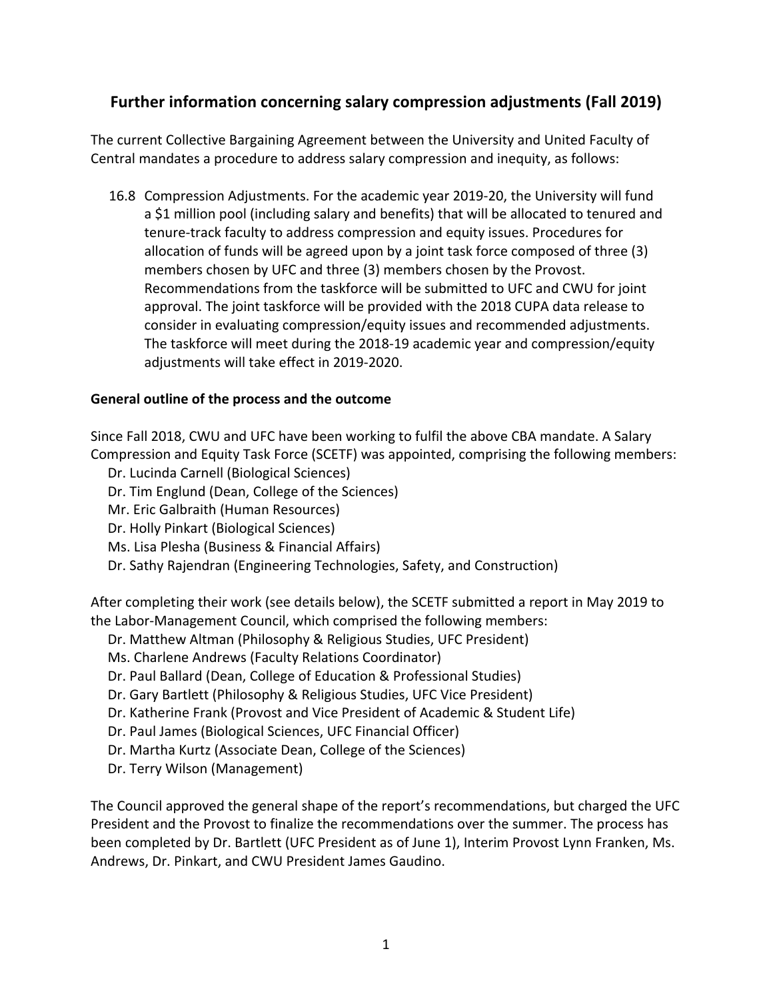## **Further information concerning salary compression adjustments (Fall 2019)**

The current Collective Bargaining Agreement between the University and United Faculty of Central mandates a procedure to address salary compression and inequity, as follows:

16.8 Compression Adjustments. For the academic year 2019-20, the University will fund a \$1 million pool (including salary and benefits) that will be allocated to tenured and tenure-track faculty to address compression and equity issues. Procedures for allocation of funds will be agreed upon by a joint task force composed of three (3) members chosen by UFC and three (3) members chosen by the Provost. Recommendations from the taskforce will be submitted to UFC and CWU for joint approval. The joint taskforce will be provided with the 2018 CUPA data release to consider in evaluating compression/equity issues and recommended adjustments. The taskforce will meet during the 2018-19 academic year and compression/equity adjustments will take effect in 2019-2020.

## **General outline of the process and the outcome**

Since Fall 2018, CWU and UFC have been working to fulfil the above CBA mandate. A Salary Compression and Equity Task Force (SCETF) was appointed, comprising the following members:

Dr. Lucinda Carnell (Biological Sciences) Dr. Tim Englund (Dean, College of the Sciences) Mr. Eric Galbraith (Human Resources) Dr. Holly Pinkart (Biological Sciences) Ms. Lisa Plesha (Business & Financial Affairs) Dr. Sathy Rajendran (Engineering Technologies, Safety, and Construction)

After completing their work (see details below), the SCETF submitted a report in May 2019 to the Labor-Management Council, which comprised the following members:

- Dr. Matthew Altman (Philosophy & Religious Studies, UFC President)
- Ms. Charlene Andrews (Faculty Relations Coordinator)
- Dr. Paul Ballard (Dean, College of Education & Professional Studies)
- Dr. Gary Bartlett (Philosophy & Religious Studies, UFC Vice President)
- Dr. Katherine Frank (Provost and Vice President of Academic & Student Life)
- Dr. Paul James (Biological Sciences, UFC Financial Officer)
- Dr. Martha Kurtz (Associate Dean, College of the Sciences)
- Dr. Terry Wilson (Management)

The Council approved the general shape of the report's recommendations, but charged the UFC President and the Provost to finalize the recommendations over the summer. The process has been completed by Dr. Bartlett (UFC President as of June 1), Interim Provost Lynn Franken, Ms. Andrews, Dr. Pinkart, and CWU President James Gaudino.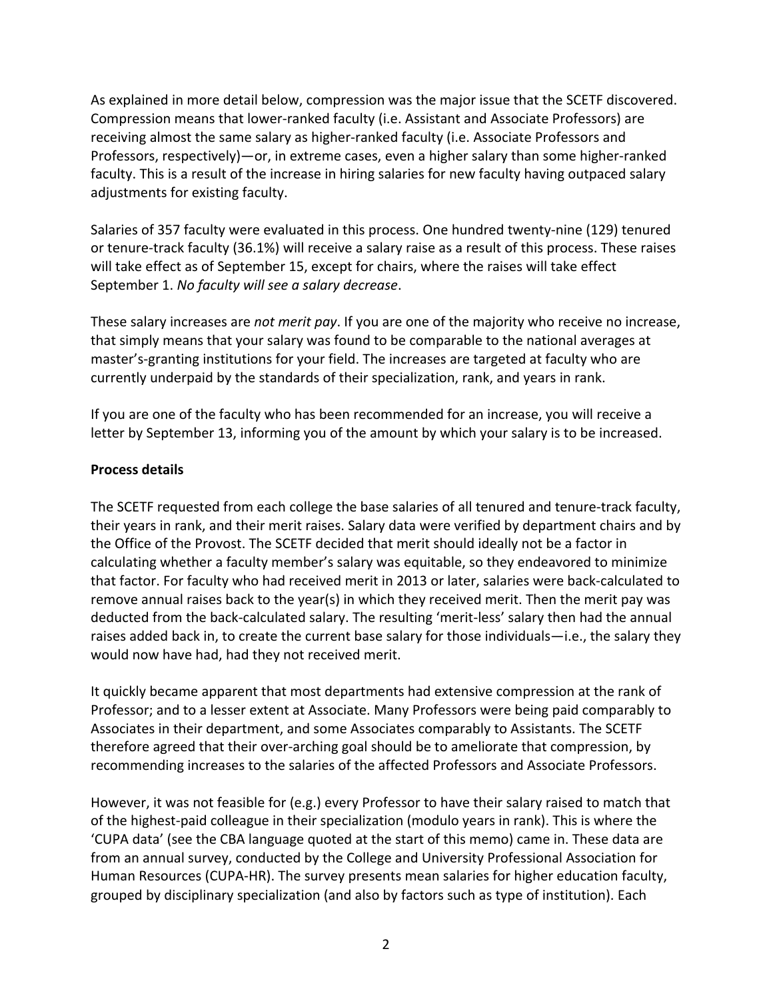As explained in more detail below, compression was the major issue that the SCETF discovered. Compression means that lower-ranked faculty (i.e. Assistant and Associate Professors) are receiving almost the same salary as higher-ranked faculty (i.e. Associate Professors and Professors, respectively)—or, in extreme cases, even a higher salary than some higher-ranked faculty. This is a result of the increase in hiring salaries for new faculty having outpaced salary adjustments for existing faculty.

Salaries of 357 faculty were evaluated in this process. One hundred twenty-nine (129) tenured or tenure-track faculty (36.1%) will receive a salary raise as a result of this process. These raises will take effect as of September 15, except for chairs, where the raises will take effect September 1. *No faculty will see a salary decrease*.

These salary increases are *not merit pay*. If you are one of the majority who receive no increase, that simply means that your salary was found to be comparable to the national averages at master's-granting institutions for your field. The increases are targeted at faculty who are currently underpaid by the standards of their specialization, rank, and years in rank.

If you are one of the faculty who has been recommended for an increase, you will receive a letter by September 13, informing you of the amount by which your salary is to be increased.

## **Process details**

The SCETF requested from each college the base salaries of all tenured and tenure-track faculty, their years in rank, and their merit raises. Salary data were verified by department chairs and by the Office of the Provost. The SCETF decided that merit should ideally not be a factor in calculating whether a faculty member's salary was equitable, so they endeavored to minimize that factor. For faculty who had received merit in 2013 or later, salaries were back-calculated to remove annual raises back to the year(s) in which they received merit. Then the merit pay was deducted from the back-calculated salary. The resulting 'merit-less' salary then had the annual raises added back in, to create the current base salary for those individuals—i.e., the salary they would now have had, had they not received merit.

It quickly became apparent that most departments had extensive compression at the rank of Professor; and to a lesser extent at Associate. Many Professors were being paid comparably to Associates in their department, and some Associates comparably to Assistants. The SCETF therefore agreed that their over-arching goal should be to ameliorate that compression, by recommending increases to the salaries of the affected Professors and Associate Professors.

However, it was not feasible for (e.g.) every Professor to have their salary raised to match that of the highest-paid colleague in their specialization (modulo years in rank). This is where the 'CUPA data' (see the CBA language quoted at the start of this memo) came in. These data are from an annual survey, conducted by the College and University Professional Association for Human Resources (CUPA-HR). The survey presents mean salaries for higher education faculty, grouped by disciplinary specialization (and also by factors such as type of institution). Each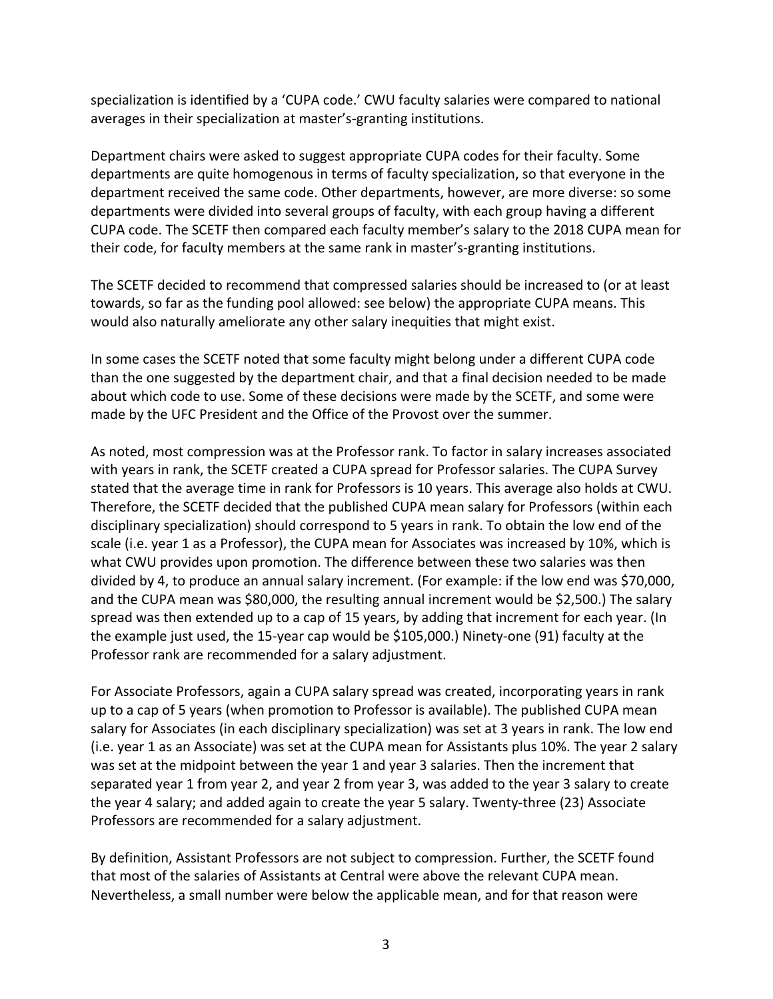specialization is identified by a 'CUPA code.' CWU faculty salaries were compared to national averages in their specialization at master's-granting institutions.

Department chairs were asked to suggest appropriate CUPA codes for their faculty. Some departments are quite homogenous in terms of faculty specialization, so that everyone in the department received the same code. Other departments, however, are more diverse: so some departments were divided into several groups of faculty, with each group having a different CUPA code. The SCETF then compared each faculty member's salary to the 2018 CUPA mean for their code, for faculty members at the same rank in master's-granting institutions.

The SCETF decided to recommend that compressed salaries should be increased to (or at least towards, so far as the funding pool allowed: see below) the appropriate CUPA means. This would also naturally ameliorate any other salary inequities that might exist.

In some cases the SCETF noted that some faculty might belong under a different CUPA code than the one suggested by the department chair, and that a final decision needed to be made about which code to use. Some of these decisions were made by the SCETF, and some were made by the UFC President and the Office of the Provost over the summer.

As noted, most compression was at the Professor rank. To factor in salary increases associated with years in rank, the SCETF created a CUPA spread for Professor salaries. The CUPA Survey stated that the average time in rank for Professors is 10 years. This average also holds at CWU. Therefore, the SCETF decided that the published CUPA mean salary for Professors (within each disciplinary specialization) should correspond to 5 years in rank. To obtain the low end of the scale (i.e. year 1 as a Professor), the CUPA mean for Associates was increased by 10%, which is what CWU provides upon promotion. The difference between these two salaries was then divided by 4, to produce an annual salary increment. (For example: if the low end was \$70,000, and the CUPA mean was \$80,000, the resulting annual increment would be \$2,500.) The salary spread was then extended up to a cap of 15 years, by adding that increment for each year. (In the example just used, the 15-year cap would be \$105,000.) Ninety-one (91) faculty at the Professor rank are recommended for a salary adjustment.

For Associate Professors, again a CUPA salary spread was created, incorporating years in rank up to a cap of 5 years (when promotion to Professor is available). The published CUPA mean salary for Associates (in each disciplinary specialization) was set at 3 years in rank. The low end (i.e. year 1 as an Associate) was set at the CUPA mean for Assistants plus 10%. The year 2 salary was set at the midpoint between the year 1 and year 3 salaries. Then the increment that separated year 1 from year 2, and year 2 from year 3, was added to the year 3 salary to create the year 4 salary; and added again to create the year 5 salary. Twenty-three (23) Associate Professors are recommended for a salary adjustment.

By definition, Assistant Professors are not subject to compression. Further, the SCETF found that most of the salaries of Assistants at Central were above the relevant CUPA mean. Nevertheless, a small number were below the applicable mean, and for that reason were